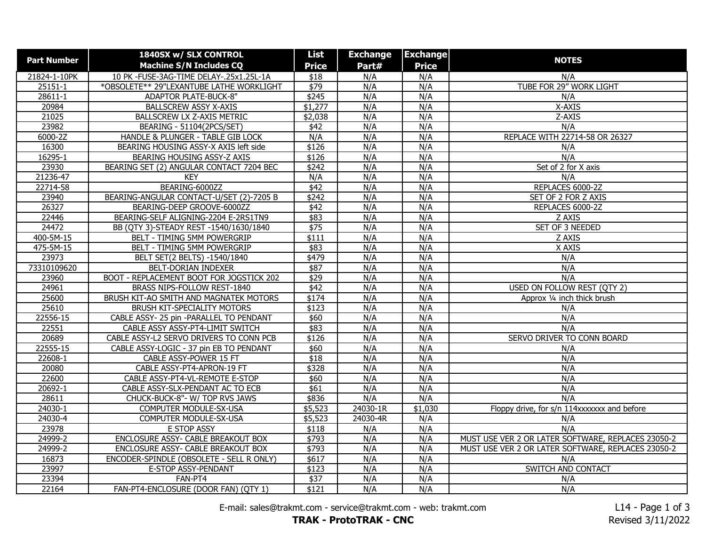| <b>Part Number</b> | 1840SX w/ SLX CONTROL                    | List          | <b>Exchange</b> | <b>Exchange</b> |                                                    |
|--------------------|------------------------------------------|---------------|-----------------|-----------------|----------------------------------------------------|
|                    | <b>Machine S/N Includes CQ</b>           | <b>Price</b>  | Part#           | <b>Price</b>    | <b>NOTES</b>                                       |
| 21824-1-10PK       | 10 PK -FUSE-3AG-TIME DELAY-.25x1.25L-1A  | \$18          | N/A             | N/A             | N/A                                                |
| 25151-1            | *OBSOLETE** 29"LEXANTUBE LATHE WORKLIGHT | \$79          | N/A             | N/A             | TUBE FOR 29" WORK LIGHT                            |
| 28611-1            | <b>ADAPTOR PLATE-BUCK-8"</b>             | \$245         | N/A             | N/A             | N/A                                                |
| 20984              | BALLSCREW ASSY X-AXIS                    | \$1,277       | N/A             | N/A             | X-AXIS                                             |
| 21025              | BALLSCREW LX Z-AXIS METRIC               | \$2,038       | N/A             | N/A             | Z-AXIS                                             |
| 23982              | BEARING - 51104(2PCS/SET)                | \$42          | N/A             | N/A             | N/A                                                |
| 6000-2Z            | HANDLE & PLUNGER - TABLE GIB LOCK        | N/A           | N/A             | N/A             | REPLACE WITH 22714-58 OR 26327                     |
| 16300              | BEARING HOUSING ASSY-X AXIS left side    | \$126         | N/A             | N/A             | N/A                                                |
| 16295-1            | BEARING HOUSING ASSY-Z AXIS              | \$126         | N/A             | N/A             | N/A                                                |
| 23930              | BEARING SET (2) ANGULAR CONTACT 7204 BEC | \$242         | N/A             | N/A             | Set of 2 for X axis                                |
| 21236-47           | <b>KEY</b>                               | N/A           | N/A             | N/A             | N/A                                                |
| 22714-58           | BEARING-6000ZZ                           | $\sqrt{42}$   | N/A             | N/A             | REPLACES 6000-2Z                                   |
| 23940              | BEARING-ANGULAR CONTACT-U/SET (2)-7205 B | \$242         | N/A             | N/A             | SET OF 2 FOR Z AXIS                                |
| 26327              | BEARING-DEEP GROOVE-6000ZZ               | $\sqrt{42}$   | N/A             | N/A             | REPLACES 6000-2Z                                   |
| 22446              | BEARING-SELF ALIGNING-2204 E-2RS1TN9     | \$83          | N/A             | N/A             | Z AXIS                                             |
| 24472              | BB (QTY 3)-STEADY REST -1540/1630/1840   | \$75          | N/A             | N/A             | SET OF 3 NEEDED                                    |
| 400-5M-15          | BELT - TIMING 5MM POWERGRIP              | \$111         | N/A             | N/A             | Z AXIS                                             |
| 475-5M-15          | BELT - TIMING 5MM POWERGRIP              | \$83          | N/A             | N/A             | X AXIS                                             |
| 23973              | BELT SET(2 BELTS) -1540/1840             | \$479         | N/A             | N/A             | N/A                                                |
| 73310109620        | BELT-DORIAN INDEXER                      | \$87          | N/A             | N/A             | N/A                                                |
| 23960              | BOOT - REPLACEMENT BOOT FOR JOGSTICK 202 | $\sqrt{$29}$  | N/A             | N/A             | N/A                                                |
| 24961              | BRASS NIPS-FOLLOW REST-1840              | \$42          | N/A             | N/A             | USED ON FOLLOW REST (QTY 2)                        |
| 25600              | BRUSH KIT-AO SMITH AND MAGNATEK MOTORS   | \$174         | N/A             | N/A             | Approx 1/4 inch thick brush                        |
| 25610              | <b>BRUSH KIT-SPECIALITY MOTORS</b>       | \$123         | N/A             | N/A             | N/A                                                |
| 22556-15           | CABLE ASSY- 25 pin -PARALLEL TO PENDANT  | \$60          | N/A             | N/A             | N/A                                                |
| 22551              | CABLE ASSY ASSY-PT4-LIMIT SWITCH         | \$83          | N/A             | N/A             | N/A                                                |
| 20689              | CABLE ASSY-L2 SERVO DRIVERS TO CONN PCB  | \$126         | N/A             | N/A             | SERVO DRIVER TO CONN BOARD                         |
| 22555-15           | CABLE ASSY-LOGIC - 37 pin EB TO PENDANT  | \$60          | N/A             | N/A             | N/A                                                |
| 22608-1            | CABLE ASSY-POWER 15 FT                   | \$18          | N/A             | N/A             | N/A                                                |
| 20080              | CABLE ASSY-PT4-APRON-19 FT               | \$328         | N/A             | N/A             | N/A                                                |
| 22600              | CABLE ASSY-PT4-VL-REMOTE E-STOP          | \$60          | N/A             | N/A             | N/A                                                |
| 20692-1            | CABLE ASSY-SLX-PENDANT AC TO ECB         | \$61          | N/A             | N/A             | N/A                                                |
| 28611              | CHUCK-BUCK-8"- W/ TOP RVS JAWS           | \$836         | N/A             | N/A             | N/A                                                |
| 24030-1            | COMPUTER MODULE-SX-USA                   | \$5,523       | 24030-1R        | \$1,030         | Floppy drive, for s/n 114xxxxxxx and before        |
| 24030-4            | COMPUTER MODULE-SX-USA                   | \$5,523       | 24030-4R        | N/A             | N/A                                                |
| 23978              | E STOP ASSY                              | \$118         | N/A             | N/A             | N/A                                                |
| 24999-2            | ENCLOSURE ASSY- CABLE BREAKOUT BOX       | \$793         | N/A             | N/A             | MUST USE VER 2 OR LATER SOFTWARE, REPLACES 23050-2 |
| 24999-2            | ENCLOSURE ASSY- CABLE BREAKOUT BOX       | $\sqrt{$793}$ | N/A             | N/A             | MUST USE VER 2 OR LATER SOFTWARE, REPLACES 23050-2 |
| 16873              | ENCODER-SPINDLE (OBSOLETE - SELL R ONLY) | \$617         | N/A             | N/A             | N/A                                                |
| 23997              | E-STOP ASSY-PENDANT                      | \$123         | N/A             | N/A             | SWITCH AND CONTACT                                 |
| 23394              | FAN-PT4                                  | \$37          | N/A             | N/A             | N/A                                                |
| 22164              | FAN-PT4-ENCLOSURE (DOOR FAN) (QTY 1)     | \$121         | N/A             | N/A             | N/A                                                |

E-mail: sales@trakmt.com - service@trakmt.com - web: trakmt.com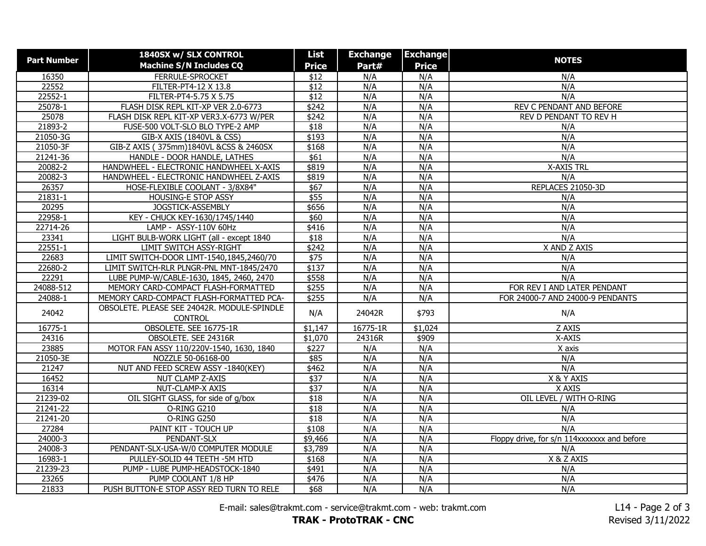| <b>Part Number</b> | 1840SX w/ SLX CONTROL                       | List             | <b>Exchange</b> | <b>Exchange</b> | <b>NOTES</b>                                |
|--------------------|---------------------------------------------|------------------|-----------------|-----------------|---------------------------------------------|
|                    | <b>Machine S/N Includes CQ</b>              | <b>Price</b>     | Part#           | <b>Price</b>    |                                             |
| 16350              | FERRULE-SPROCKET                            | \$12             | N/A             | N/A             | N/A                                         |
| 22552              | FILTER-PT4-12 X 13.8                        | \$12             | N/A             | N/A             | N/A                                         |
| 22552-1            | FILTER-PT4-5.75 X 5.75                      | $\overline{$12}$ | N/A             | N/A             | N/A                                         |
| 25078-1            | FLASH DISK REPL KIT-XP VER 2.0-6773         | \$242            | N/A             | N/A             | REV C PENDANT AND BEFORE                    |
| 25078              | FLASH DISK REPL KIT-XP VER3.X-6773 W/PER    | \$242            | N/A             | N/A             | REV D PENDANT TO REV H                      |
| 21893-2            | FUSE-500 VOLT-SLO BLO TYPE-2 AMP            | \$18             | N/A             | N/A             | N/A                                         |
| 21050-3G           | GIB-X AXIS (1840VL & CSS)                   | \$193            | N/A             | N/A             | N/A                                         |
| 21050-3F           | GIB-Z AXIS (375mm)1840VL &CSS & 2460SX      | \$168            | N/A             | N/A             | N/A                                         |
| 21241-36           | HANDLE - DOOR HANDLE, LATHES                | $\overline{$61}$ | N/A             | N/A             | N/A                                         |
| 20082-2            | HANDWHEEL - ELECTRONIC HANDWHEEL X-AXIS     | \$819            | N/A             | N/A             | <b>X-AXIS TRL</b>                           |
| 20082-3            | HANDWHEEL - ELECTRONIC HANDWHEEL Z-AXIS     | \$819            | N/A             | N/A             | N/A                                         |
| 26357              | HOSE-FLEXIBLE COOLANT - 3/8X84"             | \$67             | N/A             | N/A             | REPLACES 21050-3D                           |
| 21831-1            | <b>HOUSING-E STOP ASSY</b>                  | \$55             | N/A             | N/A             | N/A                                         |
| 20295              | JOGSTICK-ASSEMBLY                           | \$656            | N/A             | N/A             | N/A                                         |
| 22958-1            | KEY - CHUCK KEY-1630/1745/1440              | \$60             | N/A             | N/A             | N/A                                         |
| 22714-26           | LAMP - ASSY-110V 60Hz                       | \$416            | N/A             | N/A             | N/A                                         |
| 23341              | LIGHT BULB-WORK LIGHT (all - except 1840    | \$18             | N/A             | N/A             | N/A                                         |
| 22551-1            | LIMIT SWITCH ASSY-RIGHT                     | \$242            | N/A             | N/A             | X AND Z AXIS                                |
| 22683              | LIMIT SWITCH-DOOR LIMT-1540,1845,2460/70    | $\sqrt{$75}$     | N/A             | N/A             | N/A                                         |
| 22680-2            | LIMIT SWITCH-RLR PLNGR-PNL MNT-1845/2470    | \$137            | N/A             | N/A             | N/A                                         |
| 22291              | LUBE PUMP-W/CABLE-1630, 1845, 2460, 2470    | \$558            | N/A             | N/A             | N/A                                         |
| 24088-512          | MEMORY CARD-COMPACT FLASH-FORMATTED         | \$255            | N/A             | N/A             | FOR REV I AND LATER PENDANT                 |
| 24088-1            | MEMORY CARD-COMPACT FLASH-FORMATTED PCA-    | \$255            | N/A             | N/A             | FOR 24000-7 AND 24000-9 PENDANTS            |
|                    | OBSOLETE. PLEASE SEE 24042R. MODULE-SPINDLE | N/A              | 24042R          | \$793           |                                             |
| 24042              | <b>CONTROL</b>                              |                  |                 |                 | N/A                                         |
| 16775-1            | OBSOLETE. SEE 16775-1R                      | \$1,147          | 16775-1R        | \$1,024         | Z AXIS                                      |
| 24316              | OBSOLETE. SEE 24316R                        | \$1,070          | 24316R          | \$909           | X-AXIS                                      |
| 23885              | MOTOR FAN ASSY 110/220V-1540, 1630, 1840    | \$227            | N/A             | N/A             | X axis                                      |
| 21050-3E           | NOZZLE 50-06168-00                          | \$85             | N/A             | N/A             | N/A                                         |
| 21247              | NUT AND FEED SCREW ASSY -1840(KEY)          | \$462            | N/A             | N/A             | N/A                                         |
| 16452              | NUT CLAMP Z-AXIS                            | \$37             | N/A             | N/A             | X & Y AXIS                                  |
| 16314              | NUT-CLAMP-X AXIS                            | $\sqrt{$37}$     | N/A             | N/A             | X AXIS                                      |
| 21239-02           | OIL SIGHT GLASS, for side of g/box          | \$18             | N/A             | N/A             | OIL LEVEL / WITH O-RING                     |
| 21241-22           | O-RING G210                                 | $\overline{$18}$ | N/A             | N/A             | N/A                                         |
| $21241 - 20$       | O-RING G250                                 | $\overline{$18}$ | N/A             | N/A             | N/A                                         |
| 27284              | PAINT KIT - TOUCH UP                        | \$108            | N/A             | N/A             | N/A                                         |
| 24000-3            | PENDANT-SLX                                 | \$9,466          | N/A             | N/A             | Floppy drive, for s/n 114xxxxxxx and before |
| 24008-3            | PENDANT-SLX-USA-W/0 COMPUTER MODULE         | \$3,789          | N/A             | N/A             | N/A                                         |
| 16983-1            | PULLEY-SOLID 44 TEETH - 5M HTD              | \$168            | N/A             | N/A             | X & Z AXIS                                  |
| 21239-23           | PUMP - LUBE PUMP-HEADSTOCK-1840             | \$491            | N/A             | N/A             | N/A                                         |
| 23265              | PUMP COOLANT 1/8 HP                         | \$476            | N/A             | N/A             | N/A                                         |
| 21833              | PUSH BUTTON-E STOP ASSY RED TURN TO RELE    | \$68             | N/A             | N/A             | N/A                                         |

E-mail: sales@trakmt.com - service@trakmt.com - web: trakmt.com